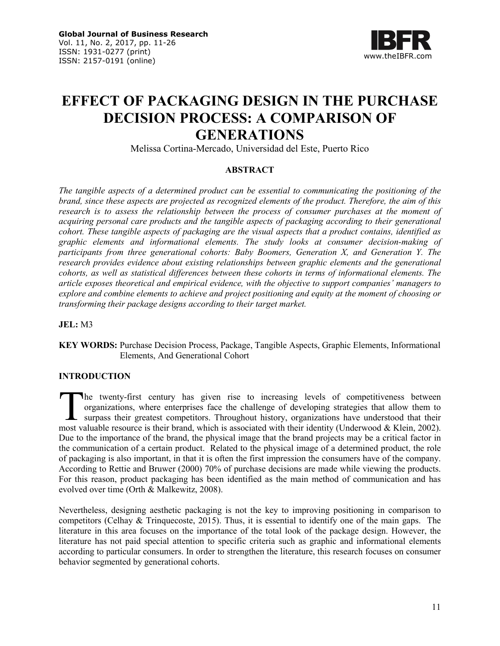

# **EFFECT OF PACKAGING DESIGN IN THE PURCHASE DECISION PROCESS: A COMPARISON OF GENERATIONS**

Melissa Cortina-Mercado, Universidad del Este, Puerto Rico

## **ABSTRACT**

*The tangible aspects of a determined product can be essential to communicating the positioning of the brand, since these aspects are projected as recognized elements of the product. Therefore, the aim of this research is to assess the relationship between the process of consumer purchases at the moment of acquiring personal care products and the tangible aspects of packaging according to their generational cohort. These tangible aspects of packaging are the visual aspects that a product contains, identified as graphic elements and informational elements. The study looks at consumer decision-making of participants from three generational cohorts: Baby Boomers, Generation X, and Generation Y. The research provides evidence about existing relationships between graphic elements and the generational cohorts, as well as statistical differences between these cohorts in terms of informational elements. The article exposes theoretical and empirical evidence, with the objective to support companies' managers to explore and combine elements to achieve and project positioning and equity at the moment of choosing or transforming their package designs according to their target market.* 

**JEL:** M3

**KEY WORDS:** Purchase Decision Process, Package, Tangible Aspects, Graphic Elements, Informational Elements, And Generational Cohort

# **INTRODUCTION**

he twenty-first century has given rise to increasing levels of competitiveness between organizations, where enterprises face the challenge of developing strategies that allow them to surpass their greatest competitors. Throughout history, organizations have understood that their The twenty-first century has given rise to increasing levels of competitiveness between organizations, where enterprises face the challenge of developing strategies that allow them to surpass their greatest competitors. Th Due to the importance of the brand, the physical image that the brand projects may be a critical factor in the communication of a certain product. Related to the physical image of a determined product, the role of packaging is also important, in that it is often the first impression the consumers have of the company. According to Rettie and Bruwer (2000) 70% of purchase decisions are made while viewing the products. For this reason, product packaging has been identified as the main method of communication and has evolved over time (Orth & Malkewitz, 2008).

Nevertheless, designing aesthetic packaging is not the key to improving positioning in comparison to competitors (Celhay & Trinquecoste, 2015). Thus, it is essential to identify one of the main gaps. The literature in this area focuses on the importance of the total look of the package design. However, the literature has not paid special attention to specific criteria such as graphic and informational elements according to particular consumers. In order to strengthen the literature, this research focuses on consumer behavior segmented by generational cohorts.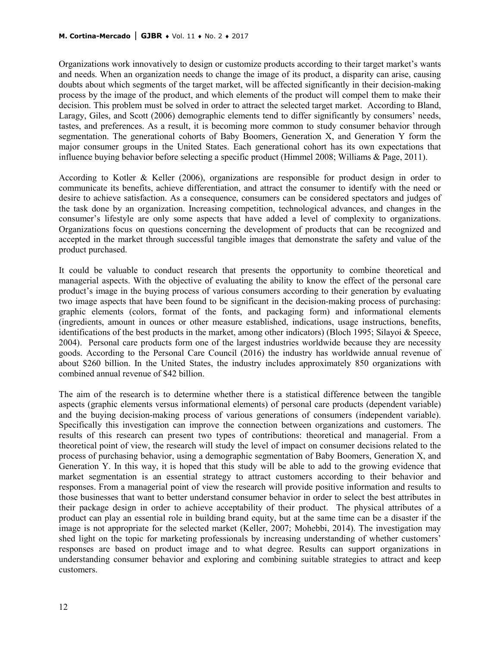Organizations work innovatively to design or customize products according to their target market's wants and needs. When an organization needs to change the image of its product, a disparity can arise, causing doubts about which segments of the target market, will be affected significantly in their decision-making process by the image of the product, and which elements of the product will compel them to make their decision. This problem must be solved in order to attract the selected target market. According to Bland, Laragy, Giles, and Scott (2006) demographic elements tend to differ significantly by consumers' needs, tastes, and preferences. As a result, it is becoming more common to study consumer behavior through segmentation. The generational cohorts of Baby Boomers, Generation X, and Generation Y form the major consumer groups in the United States. Each generational cohort has its own expectations that influence buying behavior before selecting a specific product (Himmel 2008; Williams & Page, 2011).

According to Kotler & Keller (2006), organizations are responsible for product design in order to communicate its benefits, achieve differentiation, and attract the consumer to identify with the need or desire to achieve satisfaction. As a consequence, consumers can be considered spectators and judges of the task done by an organization. Increasing competition, technological advances, and changes in the consumer's lifestyle are only some aspects that have added a level of complexity to organizations. Organizations focus on questions concerning the development of products that can be recognized and accepted in the market through successful tangible images that demonstrate the safety and value of the product purchased.

It could be valuable to conduct research that presents the opportunity to combine theoretical and managerial aspects. With the objective of evaluating the ability to know the effect of the personal care product's image in the buying process of various consumers according to their generation by evaluating two image aspects that have been found to be significant in the decision-making process of purchasing: graphic elements (colors, format of the fonts, and packaging form) and informational elements (ingredients, amount in ounces or other measure established, indications, usage instructions, benefits, identifications of the best products in the market, among other indicators) (Bloch 1995; Silayoi & Speece, 2004). Personal care products form one of the largest industries worldwide because they are necessity goods. According to the Personal Care Council (2016) the industry has worldwide annual revenue of about \$260 billion. In the United States, the industry includes approximately 850 organizations with combined annual revenue of \$42 billion.

The aim of the research is to determine whether there is a statistical difference between the tangible aspects (graphic elements versus informational elements) of personal care products (dependent variable) and the buying decision-making process of various generations of consumers (independent variable). Specifically this investigation can improve the connection between organizations and customers. The results of this research can present two types of contributions: theoretical and managerial. From a theoretical point of view, the research will study the level of impact on consumer decisions related to the process of purchasing behavior, using a demographic segmentation of Baby Boomers, Generation X, and Generation Y. In this way, it is hoped that this study will be able to add to the growing evidence that market segmentation is an essential strategy to attract customers according to their behavior and responses. From a managerial point of view the research will provide positive information and results to those businesses that want to better understand consumer behavior in order to select the best attributes in their package design in order to achieve acceptability of their product. The physical attributes of a product can play an essential role in building brand equity, but at the same time can be a disaster if the image is not appropriate for the selected market (Keller, 2007; Mohebbi, 2014). The investigation may shed light on the topic for marketing professionals by increasing understanding of whether customers' responses are based on product image and to what degree. Results can support organizations in understanding consumer behavior and exploring and combining suitable strategies to attract and keep customers.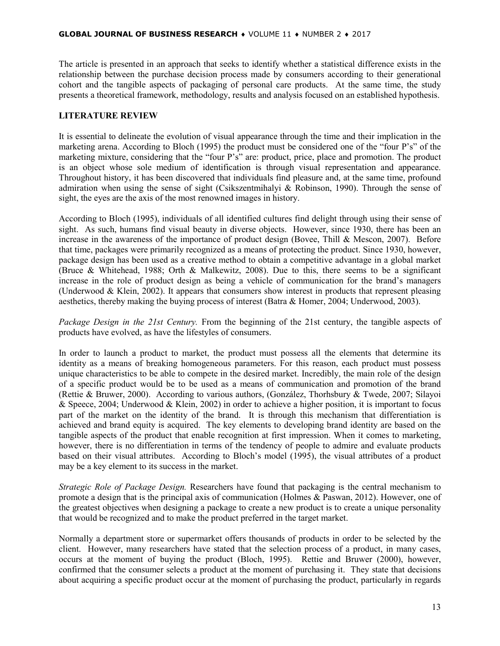The article is presented in an approach that seeks to identify whether a statistical difference exists in the relationship between the purchase decision process made by consumers according to their generational cohort and the tangible aspects of packaging of personal care products. At the same time, the study presents a theoretical framework, methodology, results and analysis focused on an established hypothesis.

#### **LITERATURE REVIEW**

It is essential to delineate the evolution of visual appearance through the time and their implication in the marketing arena. According to Bloch (1995) the product must be considered one of the "four P's" of the marketing mixture, considering that the "four P's" are: product, price, place and promotion. The product is an object whose sole medium of identification is through visual representation and appearance. Throughout history, it has been discovered that individuals find pleasure and, at the same time, profound admiration when using the sense of sight (Csikszentmihalyi & Robinson, 1990). Through the sense of sight, the eyes are the axis of the most renowned images in history.

According to Bloch (1995), individuals of all identified cultures find delight through using their sense of sight. As such, humans find visual beauty in diverse objects. However, since 1930, there has been an increase in the awareness of the importance of product design (Bovee, Thill & Mescon, 2007). Before that time, packages were primarily recognized as a means of protecting the product. Since 1930, however, package design has been used as a creative method to obtain a competitive advantage in a global market (Bruce & Whitehead, 1988; Orth & Malkewitz, 2008). Due to this, there seems to be a significant increase in the role of product design as being a vehicle of communication for the brand's managers (Underwood & Klein, 2002). It appears that consumers show interest in products that represent pleasing aesthetics, thereby making the buying process of interest (Batra & Homer, 2004; Underwood, 2003).

*Package Design in the 21st Century.* From the beginning of the 21st century, the tangible aspects of products have evolved, as have the lifestyles of consumers.

In order to launch a product to market, the product must possess all the elements that determine its identity as a means of breaking homogeneous parameters. For this reason, each product must possess unique characteristics to be able to compete in the desired market. Incredibly, the main role of the design of a specific product would be to be used as a means of communication and promotion of the brand (Rettie & Bruwer, 2000). According to various authors, (González, Thorhsbury & Twede, 2007; Silayoi & Speece, 2004; Underwood & Klein, 2002) in order to achieve a higher position, it is important to focus part of the market on the identity of the brand. It is through this mechanism that differentiation is achieved and brand equity is acquired. The key elements to developing brand identity are based on the tangible aspects of the product that enable recognition at first impression. When it comes to marketing, however, there is no differentiation in terms of the tendency of people to admire and evaluate products based on their visual attributes. According to Bloch's model (1995), the visual attributes of a product may be a key element to its success in the market.

*Strategic Role of Package Design.* Researchers have found that packaging is the central mechanism to promote a design that is the principal axis of communication (Holmes & Paswan, 2012). However, one of the greatest objectives when designing a package to create a new product is to create a unique personality that would be recognized and to make the product preferred in the target market.

Normally a department store or supermarket offers thousands of products in order to be selected by the client. However, many researchers have stated that the selection process of a product, in many cases, occurs at the moment of buying the product (Bloch, 1995). Rettie and Bruwer (2000), however, confirmed that the consumer selects a product at the moment of purchasing it. They state that decisions about acquiring a specific product occur at the moment of purchasing the product, particularly in regards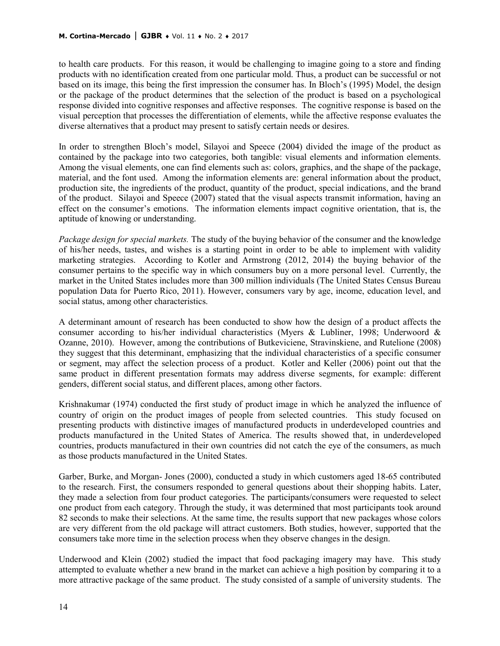#### **M. Cortina-Mercado** | **GJBR** ♦ Vol. 11 ♦ No. 2 ♦ 2017

to health care products. For this reason, it would be challenging to imagine going to a store and finding products with no identification created from one particular mold. Thus, a product can be successful or not based on its image, this being the first impression the consumer has. In Bloch's (1995) Model, the design or the package of the product determines that the selection of the product is based on a psychological response divided into cognitive responses and affective responses. The cognitive response is based on the visual perception that processes the differentiation of elements, while the affective response evaluates the diverse alternatives that a product may present to satisfy certain needs or desires.

In order to strengthen Bloch's model, Silayoi and Speece (2004) divided the image of the product as contained by the package into two categories, both tangible: visual elements and information elements. Among the visual elements, one can find elements such as: colors, graphics, and the shape of the package, material, and the font used. Among the information elements are: general information about the product, production site, the ingredients of the product, quantity of the product, special indications, and the brand of the product. Silayoi and Speece (2007) stated that the visual aspects transmit information, having an effect on the consumer's emotions. The information elements impact cognitive orientation, that is, the aptitude of knowing or understanding.

*Package design for special markets.* The study of the buying behavior of the consumer and the knowledge of his/her needs, tastes, and wishes is a starting point in order to be able to implement with validity marketing strategies. According to Kotler and Armstrong (2012, 2014) the buying behavior of the consumer pertains to the specific way in which consumers buy on a more personal level. Currently, the market in the United States includes more than 300 million individuals (The United States Census Bureau population Data for Puerto Rico, 2011). However, consumers vary by age, income, education level, and social status, among other characteristics.

A determinant amount of research has been conducted to show how the design of a product affects the consumer according to his/her individual characteristics (Myers & Lubliner, 1998; Underwoord & Ozanne, 2010). However, among the contributions of Butkeviciene, Stravinskiene, and Rutelione (2008) they suggest that this determinant, emphasizing that the individual characteristics of a specific consumer or segment, may affect the selection process of a product. Kotler and Keller (2006) point out that the same product in different presentation formats may address diverse segments, for example: different genders, different social status, and different places, among other factors.

Krishnakumar (1974) conducted the first study of product image in which he analyzed the influence of country of origin on the product images of people from selected countries. This study focused on presenting products with distinctive images of manufactured products in underdeveloped countries and products manufactured in the United States of America. The results showed that, in underdeveloped countries, products manufactured in their own countries did not catch the eye of the consumers, as much as those products manufactured in the United States.

Garber, Burke, and Morgan- Jones (2000), conducted a study in which customers aged 18-65 contributed to the research. First, the consumers responded to general questions about their shopping habits. Later, they made a selection from four product categories. The participants/consumers were requested to select one product from each category. Through the study, it was determined that most participants took around 82 seconds to make their selections. At the same time, the results support that new packages whose colors are very different from the old package will attract customers. Both studies, however, supported that the consumers take more time in the selection process when they observe changes in the design.

Underwood and Klein (2002) studied the impact that food packaging imagery may have. This study attempted to evaluate whether a new brand in the market can achieve a high position by comparing it to a more attractive package of the same product. The study consisted of a sample of university students. The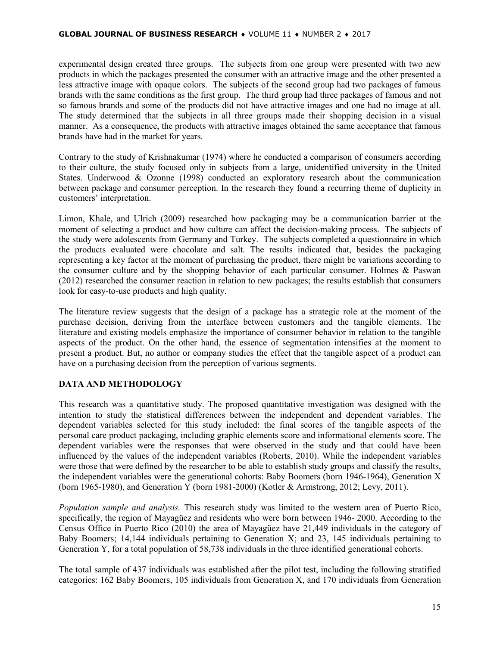experimental design created three groups. The subjects from one group were presented with two new products in which the packages presented the consumer with an attractive image and the other presented a less attractive image with opaque colors. The subjects of the second group had two packages of famous brands with the same conditions as the first group. The third group had three packages of famous and not so famous brands and some of the products did not have attractive images and one had no image at all. The study determined that the subjects in all three groups made their shopping decision in a visual manner. As a consequence, the products with attractive images obtained the same acceptance that famous brands have had in the market for years.

Contrary to the study of Krishnakumar (1974) where he conducted a comparison of consumers according to their culture, the study focused only in subjects from a large, unidentified university in the United States. Underwood & Ozonne (1998) conducted an exploratory research about the communication between package and consumer perception. In the research they found a recurring theme of duplicity in customers' interpretation.

Limon, Khale, and Ulrich (2009) researched how packaging may be a communication barrier at the moment of selecting a product and how culture can affect the decision-making process. The subjects of the study were adolescents from Germany and Turkey. The subjects completed a questionnaire in which the products evaluated were chocolate and salt. The results indicated that, besides the packaging representing a key factor at the moment of purchasing the product, there might be variations according to the consumer culture and by the shopping behavior of each particular consumer. Holmes & Paswan (2012) researched the consumer reaction in relation to new packages; the results establish that consumers look for easy-to-use products and high quality.

The literature review suggests that the design of a package has a strategic role at the moment of the purchase decision, deriving from the interface between customers and the tangible elements. The literature and existing models emphasize the importance of consumer behavior in relation to the tangible aspects of the product. On the other hand, the essence of segmentation intensifies at the moment to present a product. But, no author or company studies the effect that the tangible aspect of a product can have on a purchasing decision from the perception of various segments.

# **DATA AND METHODOLOGY**

This research was a quantitative study. The proposed quantitative investigation was designed with the intention to study the statistical differences between the independent and dependent variables. The dependent variables selected for this study included: the final scores of the tangible aspects of the personal care product packaging, including graphic elements score and informational elements score. The dependent variables were the responses that were observed in the study and that could have been influenced by the values of the independent variables (Roberts, 2010). While the independent variables were those that were defined by the researcher to be able to establish study groups and classify the results, the independent variables were the generational cohorts: Baby Boomers (born 1946-1964), Generation X (born 1965-1980), and Generation Y (born 1981-2000) (Kotler & Armstrong, 2012; Levy, 2011).

*Population sample and analysis.* This research study was limited to the western area of Puerto Rico, specifically, the region of Mayagüez and residents who were born between 1946- 2000. According to the Census Office in Puerto Rico (2010) the area of Mayagüez have 21,449 individuals in the category of Baby Boomers; 14,144 individuals pertaining to Generation X; and 23, 145 individuals pertaining to Generation Y, for a total population of 58,738 individuals in the three identified generational cohorts.

The total sample of 437 individuals was established after the pilot test, including the following stratified categories: 162 Baby Boomers, 105 individuals from Generation X, and 170 individuals from Generation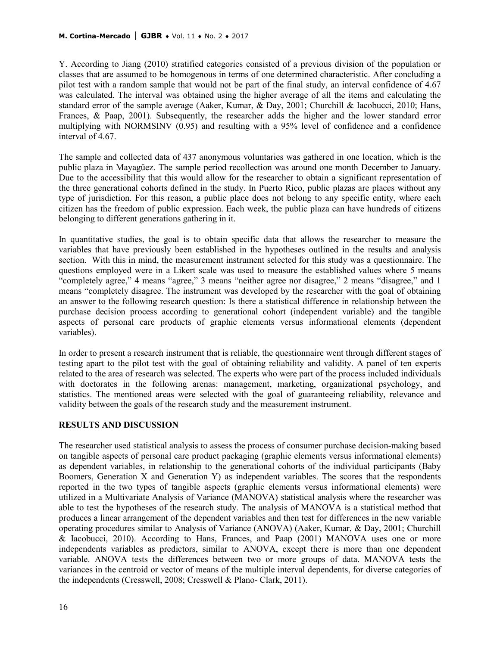Y. According to Jiang (2010) stratified categories consisted of a previous division of the population or classes that are assumed to be homogenous in terms of one determined characteristic. After concluding a pilot test with a random sample that would not be part of the final study, an interval confidence of 4.67 was calculated. The interval was obtained using the higher average of all the items and calculating the standard error of the sample average (Aaker, Kumar, & Day, 2001; Churchill & Iacobucci, 2010; Hans, Frances, & Paap, 2001). Subsequently, the researcher adds the higher and the lower standard error multiplying with NORMSINV (0.95) and resulting with a 95% level of confidence and a confidence interval of 4.67.

The sample and collected data of 437 anonymous voluntaries was gathered in one location, which is the public plaza in Mayagüez. The sample period recollection was around one month December to January. Due to the accessibility that this would allow for the researcher to obtain a significant representation of the three generational cohorts defined in the study. In Puerto Rico, public plazas are places without any type of jurisdiction. For this reason, a public place does not belong to any specific entity, where each citizen has the freedom of public expression. Each week, the public plaza can have hundreds of citizens belonging to different generations gathering in it.

In quantitative studies, the goal is to obtain specific data that allows the researcher to measure the variables that have previously been established in the hypotheses outlined in the results and analysis section. With this in mind, the measurement instrument selected for this study was a questionnaire. The questions employed were in a Likert scale was used to measure the established values where 5 means "completely agree," 4 means "agree," 3 means "neither agree nor disagree," 2 means "disagree," and 1 means "completely disagree. The instrument was developed by the researcher with the goal of obtaining an answer to the following research question: Is there a statistical difference in relationship between the purchase decision process according to generational cohort (independent variable) and the tangible aspects of personal care products of graphic elements versus informational elements (dependent variables).

In order to present a research instrument that is reliable, the questionnaire went through different stages of testing apart to the pilot test with the goal of obtaining reliability and validity. A panel of ten experts related to the area of research was selected. The experts who were part of the process included individuals with doctorates in the following arenas: management, marketing, organizational psychology, and statistics. The mentioned areas were selected with the goal of guaranteeing reliability, relevance and validity between the goals of the research study and the measurement instrument.

#### **RESULTS AND DISCUSSION**

The researcher used statistical analysis to assess the process of consumer purchase decision-making based on tangible aspects of personal care product packaging (graphic elements versus informational elements) as dependent variables, in relationship to the generational cohorts of the individual participants (Baby Boomers, Generation X and Generation Y) as independent variables. The scores that the respondents reported in the two types of tangible aspects (graphic elements versus informational elements) were utilized in a Multivariate Analysis of Variance (MANOVA) statistical analysis where the researcher was able to test the hypotheses of the research study. The analysis of MANOVA is a statistical method that produces a linear arrangement of the dependent variables and then test for differences in the new variable operating procedures similar to Analysis of Variance (ANOVA) (Aaker, Kumar, & Day, 2001; Churchill & Iacobucci, 2010). According to Hans, Frances, and Paap (2001) MANOVA uses one or more independents variables as predictors, similar to ANOVA, except there is more than one dependent variable. ANOVA tests the differences between two or more groups of data. MANOVA tests the variances in the centroid or vector of means of the multiple interval dependents, for diverse categories of the independents (Cresswell, 2008; Cresswell & Plano- Clark, 2011).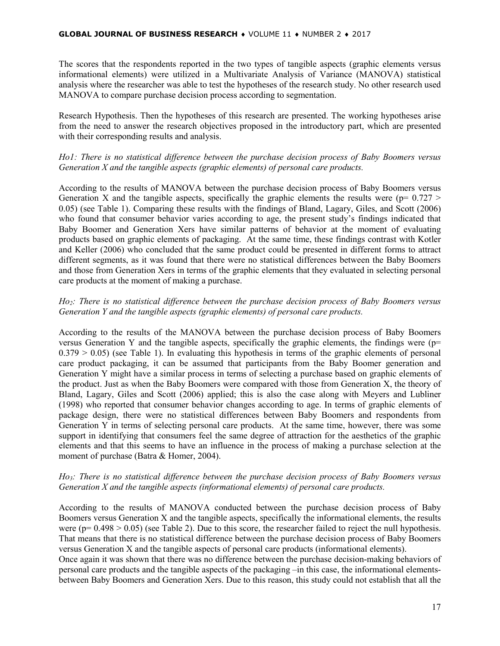The scores that the respondents reported in the two types of tangible aspects (graphic elements versus informational elements) were utilized in a Multivariate Analysis of Variance (MANOVA) statistical analysis where the researcher was able to test the hypotheses of the research study. No other research used MANOVA to compare purchase decision process according to segmentation.

Research Hypothesis. Then the hypotheses of this research are presented. The working hypotheses arise from the need to answer the research objectives proposed in the introductory part, which are presented with their corresponding results and analysis.

## *Ho1: There is no statistical difference between the purchase decision process of Baby Boomers versus Generation X and the tangible aspects (graphic elements) of personal care products.*

According to the results of MANOVA between the purchase decision process of Baby Boomers versus Generation X and the tangible aspects, specifically the graphic elements the results were ( $p= 0.727 >$ 0.05) (see Table 1). Comparing these results with the findings of Bland, Lagary, Giles, and Scott (2006) who found that consumer behavior varies according to age, the present study's findings indicated that Baby Boomer and Generation Xers have similar patterns of behavior at the moment of evaluating products based on graphic elements of packaging. At the same time, these findings contrast with Kotler and Keller (2006) who concluded that the same product could be presented in different forms to attract different segments, as it was found that there were no statistical differences between the Baby Boomers and those from Generation Xers in terms of the graphic elements that they evaluated in selecting personal care products at the moment of making a purchase.

## *Ho2: There is no statistical difference between the purchase decision process of Baby Boomers versus Generation Y and the tangible aspects (graphic elements) of personal care products.*

According to the results of the MANOVA between the purchase decision process of Baby Boomers versus Generation Y and the tangible aspects, specifically the graphic elements, the findings were ( $p=$  $0.379 > 0.05$ ) (see Table 1). In evaluating this hypothesis in terms of the graphic elements of personal care product packaging, it can be assumed that participants from the Baby Boomer generation and Generation Y might have a similar process in terms of selecting a purchase based on graphic elements of the product. Just as when the Baby Boomers were compared with those from Generation X, the theory of Bland, Lagary, Giles and Scott (2006) applied; this is also the case along with Meyers and Lubliner (1998) who reported that consumer behavior changes according to age. In terms of graphic elements of package design, there were no statistical differences between Baby Boomers and respondents from Generation Y in terms of selecting personal care products. At the same time, however, there was some support in identifying that consumers feel the same degree of attraction for the aesthetics of the graphic elements and that this seems to have an influence in the process of making a purchase selection at the moment of purchase (Batra & Homer, 2004).

## *Ho3: There is no statistical difference between the purchase decision process of Baby Boomers versus Generation X and the tangible aspects (informational elements) of personal care products.*

According to the results of MANOVA conducted between the purchase decision process of Baby Boomers versus Generation X and the tangible aspects, specifically the informational elements, the results were ( $p= 0.498 > 0.05$ ) (see Table 2). Due to this score, the researcher failed to reject the null hypothesis. That means that there is no statistical difference between the purchase decision process of Baby Boomers versus Generation X and the tangible aspects of personal care products (informational elements).

Once again it was shown that there was no difference between the purchase decision-making behaviors of personal care products and the tangible aspects of the packaging –in this case, the informational elementsbetween Baby Boomers and Generation Xers. Due to this reason, this study could not establish that all the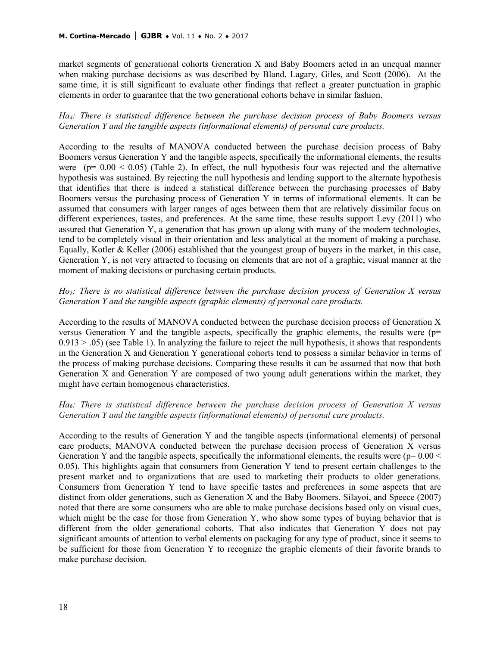market segments of generational cohorts Generation X and Baby Boomers acted in an unequal manner when making purchase decisions as was described by Bland, Lagary, Giles, and Scott (2006). At the same time, it is still significant to evaluate other findings that reflect a greater punctuation in graphic elements in order to guarantee that the two generational cohorts behave in similar fashion.

*Ha4: There is statistical difference between the purchase decision process of Baby Boomers versus Generation Y and the tangible aspects (informational elements) of personal care products.*

According to the results of MANOVA conducted between the purchase decision process of Baby Boomers versus Generation Y and the tangible aspects, specifically the informational elements, the results were ( $p= 0.00 \le 0.05$ ) (Table 2). In effect, the null hypothesis four was rejected and the alternative hypothesis was sustained. By rejecting the null hypothesis and lending support to the alternate hypothesis that identifies that there is indeed a statistical difference between the purchasing processes of Baby Boomers versus the purchasing process of Generation Y in terms of informational elements. It can be assumed that consumers with larger ranges of ages between them that are relatively dissimilar focus on different experiences, tastes, and preferences. At the same time, these results support Levy (2011) who assured that Generation Y, a generation that has grown up along with many of the modern technologies, tend to be completely visual in their orientation and less analytical at the moment of making a purchase. Equally, Kotler & Keller (2006) established that the youngest group of buyers in the market, in this case, Generation Y, is not very attracted to focusing on elements that are not of a graphic, visual manner at the moment of making decisions or purchasing certain products.

### *Ho5: There is no statistical difference between the purchase decision process of Generation X versus Generation Y and the tangible aspects (graphic elements) of personal care products.*

According to the results of MANOVA conducted between the purchase decision process of Generation X versus Generation Y and the tangible aspects, specifically the graphic elements, the results were (p=  $0.913 > .05$ ) (see Table 1). In analyzing the failure to reject the null hypothesis, it shows that respondents in the Generation X and Generation Y generational cohorts tend to possess a similar behavior in terms of the process of making purchase decisions. Comparing these results it can be assumed that now that both Generation X and Generation Y are composed of two young adult generations within the market, they might have certain homogenous characteristics.

### *Ha6: There is statistical difference between the purchase decision process of Generation X versus Generation Y and the tangible aspects (informational elements) of personal care products.*

According to the results of Generation Y and the tangible aspects (informational elements) of personal care products, MANOVA conducted between the purchase decision process of Generation X versus Generation Y and the tangible aspects, specifically the informational elements, the results were ( $p= 0.00 <$ 0.05). This highlights again that consumers from Generation Y tend to present certain challenges to the present market and to organizations that are used to marketing their products to older generations. Consumers from Generation Y tend to have specific tastes and preferences in some aspects that are distinct from older generations, such as Generation X and the Baby Boomers. Silayoi, and Speece (2007) noted that there are some consumers who are able to make purchase decisions based only on visual cues, which might be the case for those from Generation Y, who show some types of buying behavior that is different from the older generational cohorts. That also indicates that Generation Y does not pay significant amounts of attention to verbal elements on packaging for any type of product, since it seems to be sufficient for those from Generation Y to recognize the graphic elements of their favorite brands to make purchase decision.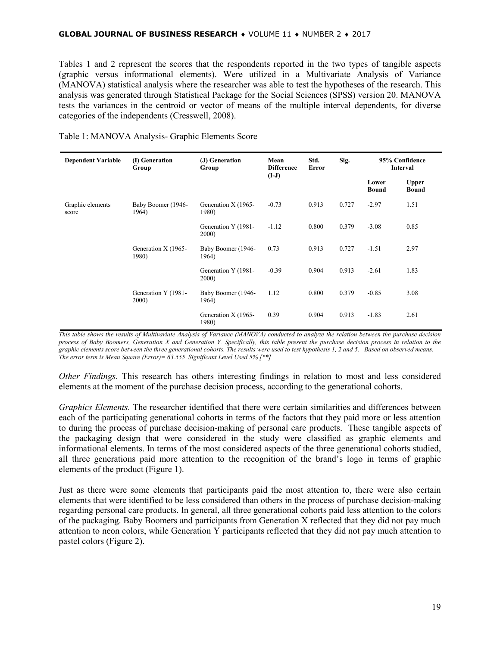Tables 1 and 2 represent the scores that the respondents reported in the two types of tangible aspects (graphic versus informational elements). Were utilized in a Multivariate Analysis of Variance (MANOVA) statistical analysis where the researcher was able to test the hypotheses of the research. This analysis was generated through Statistical Package for the Social Sciences (SPSS) version 20. MANOVA tests the variances in the centroid or vector of means of the multiple interval dependents, for diverse categories of the independents (Cresswell, 2008).

| <b>Dependent Variable</b> | (I) Generation<br>Group      | (J) Generation<br>Group      | Mean<br><b>Difference</b><br>$(I-J)$ | Std.<br>Error | Sig.  | 95% Confidence<br>Interval |                              |
|---------------------------|------------------------------|------------------------------|--------------------------------------|---------------|-------|----------------------------|------------------------------|
|                           |                              |                              |                                      |               |       | Lower<br><b>Bound</b>      | <b>Upper</b><br><b>Bound</b> |
| Graphic elements<br>score | Baby Boomer (1946-<br>1964)  | Generation X (1965-<br>1980) | $-0.73$                              | 0.913         | 0.727 | $-2.97$                    | 1.51                         |
|                           |                              | Generation Y (1981-<br>2000) | $-1.12$                              | 0.800         | 0.379 | $-3.08$                    | 0.85                         |
|                           | Generation X (1965-<br>1980) | Baby Boomer (1946-<br>1964)  | 0.73                                 | 0.913         | 0.727 | $-1.51$                    | 2.97                         |
|                           |                              | Generation Y (1981-<br>2000) | $-0.39$                              | 0.904         | 0.913 | $-2.61$                    | 1.83                         |
|                           | Generation Y (1981-<br>2000) | Baby Boomer (1946-<br>1964)  | 1.12                                 | 0.800         | 0.379 | $-0.85$                    | 3.08                         |
|                           |                              | Generation X (1965-<br>1980) | 0.39                                 | 0.904         | 0.913 | $-1.83$                    | 2.61                         |

Table 1: MANOVA Analysis- Graphic Elements Score

*This table shows the results of Multivariate Analysis of Variance (MANOVA) conducted to analyze the relation between the purchase decision process of Baby Boomers, Generation X and Generation Y. Specifically, this table present the purchase decision process in relation to the graphic elements score between the three generational cohorts. The results were used to test hypothesis 1, 2 and 5. Based on observed means. The error term is Mean Square (Error)= 63.555 Significant Level Used 5% [\*\*]*

*Other Findings.* This research has others interesting findings in relation to most and less considered elements at the moment of the purchase decision process, according to the generational cohorts.

*Graphics Elements.* The researcher identified that there were certain similarities and differences between each of the participating generational cohorts in terms of the factors that they paid more or less attention to during the process of purchase decision-making of personal care products. These tangible aspects of the packaging design that were considered in the study were classified as graphic elements and informational elements. In terms of the most considered aspects of the three generational cohorts studied, all three generations paid more attention to the recognition of the brand's logo in terms of graphic elements of the product (Figure 1).

Just as there were some elements that participants paid the most attention to, there were also certain elements that were identified to be less considered than others in the process of purchase decision-making regarding personal care products. In general, all three generational cohorts paid less attention to the colors of the packaging. Baby Boomers and participants from Generation X reflected that they did not pay much attention to neon colors, while Generation Y participants reflected that they did not pay much attention to pastel colors (Figure 2).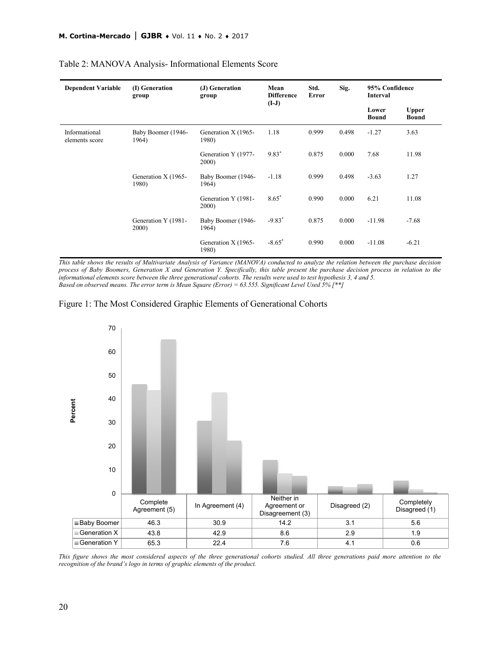| <b>Dependent Variable</b>       | (I) Generation<br>group      | (J) Generation<br>group      | Mean<br><b>Difference</b><br>$(I-J)$ | Std.<br>Error | Sig.  | 95% Confidence<br>Interval |                              |
|---------------------------------|------------------------------|------------------------------|--------------------------------------|---------------|-------|----------------------------|------------------------------|
|                                 |                              |                              |                                      |               |       | Lower<br><b>Bound</b>      | <b>Upper</b><br><b>Bound</b> |
| Informational<br>elements score | Baby Boomer (1946-<br>1964)  | Generation X (1965-<br>1980) | 1.18                                 | 0.999         | 0.498 | $-1.27$                    | 3.63                         |
|                                 |                              | Generation Y (1977-<br>2000) | $9.83*$                              | 0.875         | 0.000 | 7.68                       | 11.98                        |
|                                 | Generation X (1965-<br>1980) | Baby Boomer (1946-<br>1964)  | $-1.18$                              | 0.999         | 0.498 | $-3.63$                    | 1.27                         |
|                                 |                              | Generation Y (1981-<br>2000) | $8.65*$                              | 0.990         | 0.000 | 6.21                       | 11.08                        |
|                                 | Generation Y (1981-<br>2000) | Baby Boomer (1946-<br>1964)  | $-9.83*$                             | 0.875         | 0.000 | $-11.98$                   | $-7.68$                      |
|                                 |                              | Generation X (1965-<br>1980) | $-8.65*$                             | 0.990         | 0.000 | $-11.08$                   | $-6.21$                      |

#### Table 2: MANOVA Analysis- Informational Elements Score

*This table shows the results of Multivariate Analysis of Variance (MANOVA) conducted to analyze the relation between the purchase decision process of Baby Boomers, Generation X and Generation Y. Specifically, this table present the purchase decision process in relation to the informational elements score between the three generational cohorts. The results were used to test hypothesis 3, 4 and 5. Based on observed means. The error term is Mean Square (Error) = 63.555. Significant Level Used 5% [\*\*]*





*This figure shows the most considered aspects of the three generational cohorts studied. All three generations paid more attention to the recognition of the brand's logo in terms of graphic elements of the product.*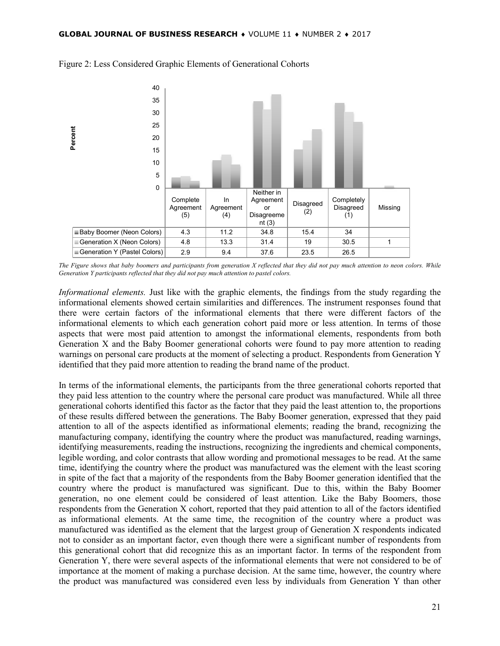

#### Figure 2: Less Considered Graphic Elements of Generational Cohorts

*The Figure shows that baby boomers and participants from generation X reflected that they did not pay much attention to neon colors. While Generation Y participants reflected that they did not pay much attention to pastel colors.*

*Informational elements.* Just like with the graphic elements, the findings from the study regarding the informational elements showed certain similarities and differences. The instrument responses found that there were certain factors of the informational elements that there were different factors of the informational elements to which each generation cohort paid more or less attention. In terms of those aspects that were most paid attention to amongst the informational elements, respondents from both Generation X and the Baby Boomer generational cohorts were found to pay more attention to reading warnings on personal care products at the moment of selecting a product. Respondents from Generation Y identified that they paid more attention to reading the brand name of the product.

In terms of the informational elements, the participants from the three generational cohorts reported that they paid less attention to the country where the personal care product was manufactured. While all three generational cohorts identified this factor as the factor that they paid the least attention to, the proportions of these results differed between the generations. The Baby Boomer generation, expressed that they paid attention to all of the aspects identified as informational elements; reading the brand, recognizing the manufacturing company, identifying the country where the product was manufactured, reading warnings, identifying measurements, reading the instructions, recognizing the ingredients and chemical components, legible wording, and color contrasts that allow wording and promotional messages to be read. At the same time, identifying the country where the product was manufactured was the element with the least scoring in spite of the fact that a majority of the respondents from the Baby Boomer generation identified that the country where the product is manufactured was significant. Due to this, within the Baby Boomer generation, no one element could be considered of least attention. Like the Baby Boomers, those respondents from the Generation X cohort, reported that they paid attention to all of the factors identified as informational elements. At the same time, the recognition of the country where a product was manufactured was identified as the element that the largest group of Generation X respondents indicated not to consider as an important factor, even though there were a significant number of respondents from this generational cohort that did recognize this as an important factor. In terms of the respondent from Generation Y, there were several aspects of the informational elements that were not considered to be of importance at the moment of making a purchase decision. At the same time, however, the country where the product was manufactured was considered even less by individuals from Generation Y than other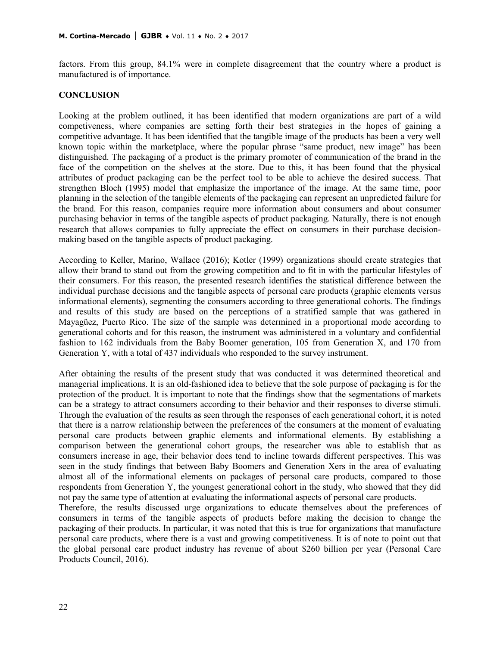factors. From this group, 84.1% were in complete disagreement that the country where a product is manufactured is of importance.

#### **CONCLUSION**

Looking at the problem outlined, it has been identified that modern organizations are part of a wild competiveness, where companies are setting forth their best strategies in the hopes of gaining a competitive advantage. It has been identified that the tangible image of the products has been a very well known topic within the marketplace, where the popular phrase "same product, new image" has been distinguished. The packaging of a product is the primary promoter of communication of the brand in the face of the competition on the shelves at the store. Due to this, it has been found that the physical attributes of product packaging can be the perfect tool to be able to achieve the desired success. That strengthen Bloch (1995) model that emphasize the importance of the image. At the same time, poor planning in the selection of the tangible elements of the packaging can represent an unpredicted failure for the brand. For this reason, companies require more information about consumers and about consumer purchasing behavior in terms of the tangible aspects of product packaging. Naturally, there is not enough research that allows companies to fully appreciate the effect on consumers in their purchase decisionmaking based on the tangible aspects of product packaging.

According to Keller, Marino, Wallace (2016); Kotler (1999) organizations should create strategies that allow their brand to stand out from the growing competition and to fit in with the particular lifestyles of their consumers. For this reason, the presented research identifies the statistical difference between the individual purchase decisions and the tangible aspects of personal care products (graphic elements versus informational elements), segmenting the consumers according to three generational cohorts. The findings and results of this study are based on the perceptions of a stratified sample that was gathered in Mayagüez, Puerto Rico. The size of the sample was determined in a proportional mode according to generational cohorts and for this reason, the instrument was administered in a voluntary and confidential fashion to 162 individuals from the Baby Boomer generation, 105 from Generation X, and 170 from Generation Y, with a total of 437 individuals who responded to the survey instrument.

After obtaining the results of the present study that was conducted it was determined theoretical and managerial implications. It is an old-fashioned idea to believe that the sole purpose of packaging is for the protection of the product. It is important to note that the findings show that the segmentations of markets can be a strategy to attract consumers according to their behavior and their responses to diverse stimuli. Through the evaluation of the results as seen through the responses of each generational cohort, it is noted that there is a narrow relationship between the preferences of the consumers at the moment of evaluating personal care products between graphic elements and informational elements. By establishing a comparison between the generational cohort groups, the researcher was able to establish that as consumers increase in age, their behavior does tend to incline towards different perspectives. This was seen in the study findings that between Baby Boomers and Generation Xers in the area of evaluating almost all of the informational elements on packages of personal care products, compared to those respondents from Generation Y, the youngest generational cohort in the study, who showed that they did not pay the same type of attention at evaluating the informational aspects of personal care products.

Therefore, the results discussed urge organizations to educate themselves about the preferences of consumers in terms of the tangible aspects of products before making the decision to change the packaging of their products. In particular, it was noted that this is true for organizations that manufacture personal care products, where there is a vast and growing competitiveness. It is of note to point out that the global personal care product industry has revenue of about \$260 billion per year (Personal Care Products Council, 2016).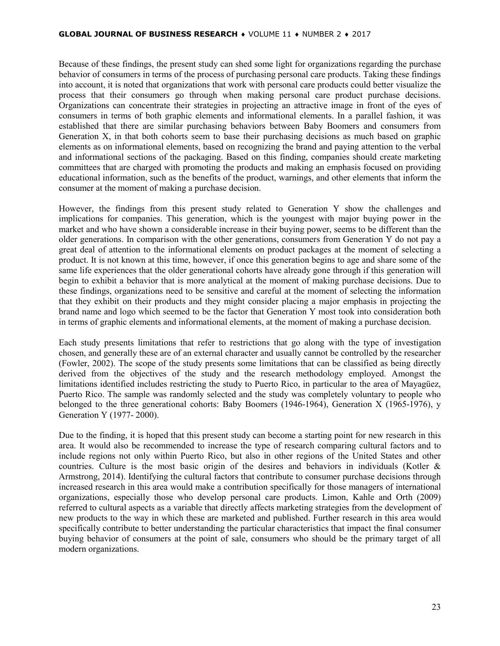Because of these findings, the present study can shed some light for organizations regarding the purchase behavior of consumers in terms of the process of purchasing personal care products. Taking these findings into account, it is noted that organizations that work with personal care products could better visualize the process that their consumers go through when making personal care product purchase decisions. Organizations can concentrate their strategies in projecting an attractive image in front of the eyes of consumers in terms of both graphic elements and informational elements. In a parallel fashion, it was established that there are similar purchasing behaviors between Baby Boomers and consumers from Generation X, in that both cohorts seem to base their purchasing decisions as much based on graphic elements as on informational elements, based on recognizing the brand and paying attention to the verbal and informational sections of the packaging. Based on this finding, companies should create marketing committees that are charged with promoting the products and making an emphasis focused on providing educational information, such as the benefits of the product, warnings, and other elements that inform the consumer at the moment of making a purchase decision.

However, the findings from this present study related to Generation Y show the challenges and implications for companies. This generation, which is the youngest with major buying power in the market and who have shown a considerable increase in their buying power, seems to be different than the older generations. In comparison with the other generations, consumers from Generation Y do not pay a great deal of attention to the informational elements on product packages at the moment of selecting a product. It is not known at this time, however, if once this generation begins to age and share some of the same life experiences that the older generational cohorts have already gone through if this generation will begin to exhibit a behavior that is more analytical at the moment of making purchase decisions. Due to these findings, organizations need to be sensitive and careful at the moment of selecting the information that they exhibit on their products and they might consider placing a major emphasis in projecting the brand name and logo which seemed to be the factor that Generation Y most took into consideration both in terms of graphic elements and informational elements, at the moment of making a purchase decision.

Each study presents limitations that refer to restrictions that go along with the type of investigation chosen, and generally these are of an external character and usually cannot be controlled by the researcher (Fowler, 2002). The scope of the study presents some limitations that can be classified as being directly derived from the objectives of the study and the research methodology employed. Amongst the limitations identified includes restricting the study to Puerto Rico, in particular to the area of Mayagüez, Puerto Rico. The sample was randomly selected and the study was completely voluntary to people who belonged to the three generational cohorts: Baby Boomers (1946-1964), Generation X (1965-1976), y Generation Y (1977- 2000).

Due to the finding, it is hoped that this present study can become a starting point for new research in this area. It would also be recommended to increase the type of research comparing cultural factors and to include regions not only within Puerto Rico, but also in other regions of the United States and other countries. Culture is the most basic origin of the desires and behaviors in individuals (Kotler & Armstrong, 2014). Identifying the cultural factors that contribute to consumer purchase decisions through increased research in this area would make a contribution specifically for those managers of international organizations, especially those who develop personal care products. Limon, Kahle and Orth (2009) referred to cultural aspects as a variable that directly affects marketing strategies from the development of new products to the way in which these are marketed and published. Further research in this area would specifically contribute to better understanding the particular characteristics that impact the final consumer buying behavior of consumers at the point of sale, consumers who should be the primary target of all modern organizations.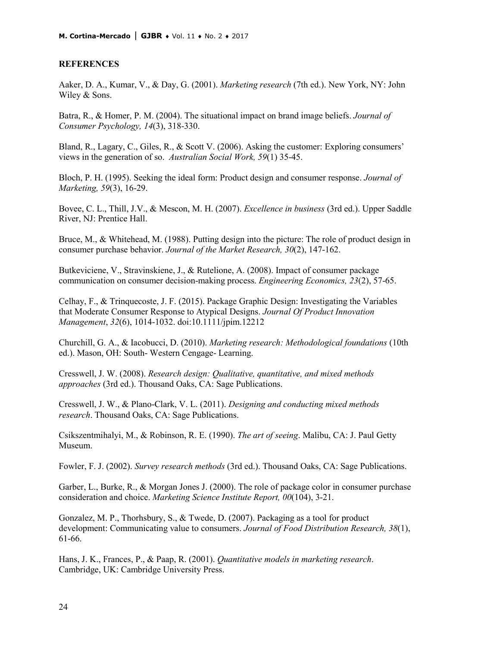#### **REFERENCES**

Aaker, D. A., Kumar, V., & Day, G. (2001). *Marketing research* (7th ed.). New York, NY: John Wiley & Sons.

Batra, R., & Homer, P. M. (2004). The situational impact on brand image beliefs. *Journal of Consumer Psychology, 14*(3), 318-330.

Bland, R., Lagary, C., Giles, R., & Scott V. (2006). Asking the customer: Exploring consumers' views in the generation of so. *Australian Social Work, 59*(1) 35-45.

Bloch, P. H. (1995). Seeking the ideal form: Product design and consumer response. *Journal of Marketing, 59*(3), 16-29.

Bovee, C. L., Thill, J.V., & Mescon, M. H. (2007). *Excellence in business* (3rd ed.). Upper Saddle River, NJ: Prentice Hall.

Bruce, M., & Whitehead, M. (1988). Putting design into the picture: The role of product design in consumer purchase behavior. *Journal of the Market Research, 30*(2), 147-162.

Butkeviciene, V., Stravinskiene, J., & Rutelione, A. (2008). Impact of consumer package communication on consumer decision-making process. *Engineering Economics, 23*(2), 57-65.

Celhay, F., & Trinquecoste, J. F. (2015). Package Graphic Design: Investigating the Variables that Moderate Consumer Response to Atypical Designs. *Journal Of Product Innovation Management*, *32*(6), 1014-1032. doi:10.1111/jpim.12212

Churchill, G. A., & Iacobucci, D. (2010). *Marketing research: Methodological foundations* (10th ed.). Mason, OH: South- Western Cengage- Learning.

Cresswell, J. W. (2008). *Research design: Qualitative, quantitative, and mixed methods approaches* (3rd ed.). Thousand Oaks, CA: Sage Publications.

Cresswell, J. W., & Plano-Clark, V. L. (2011). *Designing and conducting mixed methods research*. Thousand Oaks, CA: Sage Publications.

Csikszentmihalyi, M., & Robinson, R. E. (1990). *The art of seeing*. Malibu, CA: J. Paul Getty Museum.

Fowler, F. J. (2002). *Survey research methods* (3rd ed.). Thousand Oaks, CA: Sage Publications.

Garber, L., Burke, R., & Morgan Jones J. (2000). The role of package color in consumer purchase consideration and choice. *Marketing Science Institute Report, 00*(104), 3-21.

Gonzalez, M. P., Thorhsbury, S., & Twede, D. (2007). Packaging as a tool for product development: Communicating value to consumers. *Journal of Food Distribution Research, 38*(1), 61-66.

Hans, J. K., Frances, P., & Paap, R. (2001). *Quantitative models in marketing research*. Cambridge, UK: Cambridge University Press.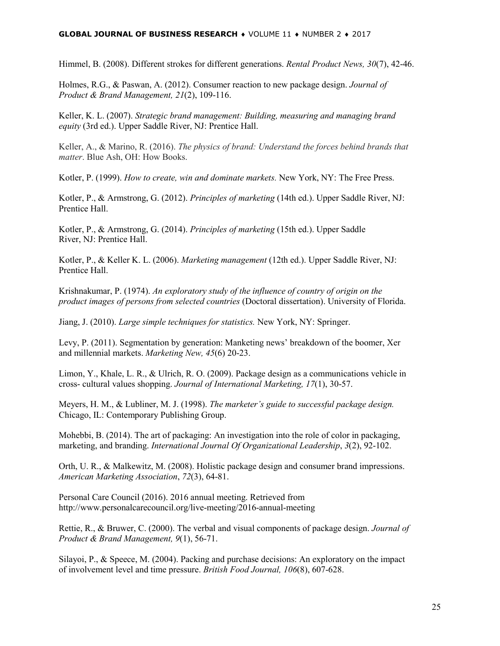#### **GLOBAL JOURNAL OF BUSINESS RESEARCH** ♦ VOLUME 11 ♦ NUMBER 2 ♦ 2017

Himmel, B. (2008). Different strokes for different generations. *Rental Product News, 30*(7), 42-46.

Holmes, R.G., & Paswan, A. (2012). Consumer reaction to new package design. *Journal of Product & Brand Management, 21*(2), 109-116.

Keller, K. L. (2007). *Strategic brand management: Building, measuring and managing brand equity* (3rd ed.). Upper Saddle River, NJ: Prentice Hall.

Keller, A., & Marino, R. (2016). *The physics of brand: Understand the forces behind brands that matter*. Blue Ash, OH: How Books.

Kotler, P. (1999). *How to create, win and dominate markets.* New York, NY: The Free Press.

Kotler, P., & Armstrong, G. (2012). *Principles of marketing* (14th ed.). Upper Saddle River, NJ: Prentice Hall.

Kotler, P., & Armstrong, G. (2014). *Principles of marketing* (15th ed.). Upper Saddle River, NJ: Prentice Hall.

Kotler, P., & Keller K. L. (2006). *Marketing management* (12th ed.). Upper Saddle River, NJ: Prentice Hall.

Krishnakumar, P. (1974). *An exploratory study of the influence of country of origin on the product images of persons from selected countries* (Doctoral dissertation). University of Florida.

Jiang, J. (2010). *Large simple techniques for statistics.* New York, NY: Springer.

Levy, P. (2011). Segmentation by generation: Manketing news' breakdown of the boomer, Xer and millennial markets. *Marketing New, 45*(6) 20-23.

Limon, Y., Khale, L. R., & Ulrich, R. O. (2009). Package design as a communications vehicle in cross- cultural values shopping. *Journal of International Marketing, 17*(1), 30-57.

Meyers, H. M., & Lubliner, M. J. (1998). *The marketer's guide to successful package design.* Chicago, IL: Contemporary Publishing Group.

Mohebbi, B. (2014). The art of packaging: An investigation into the role of color in packaging, marketing, and branding. *International Journal Of Organizational Leadership*, *3*(2), 92-102.

Orth, U. R., & Malkewitz, M. (2008). Holistic package design and consumer brand impressions. *American Marketing Association*, *72*(3), 64-81.

Personal Care Council (2016). 2016 annual meeting. Retrieved from http://www.personalcarecouncil.org/live-meeting/2016-annual-meeting

Rettie, R., & Bruwer, C. (2000). The verbal and visual components of package design. *Journal of Product & Brand Management, 9*(1), 56-71.

Silayoi, P., & Speece, M. (2004). Packing and purchase decisions: An exploratory on the impact of involvement level and time pressure. *British Food Journal, 106*(8), 607-628.